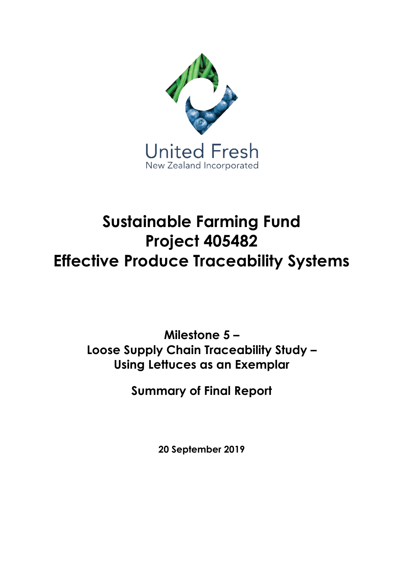

# **Sustainable Farming Fund Project 405482 Effective Produce Traceability Systems**

**Milestone 5 – Loose Supply Chain Traceability Study – Using Lettuces as an Exemplar**

**Summary of Final Report**

**20 September 2019**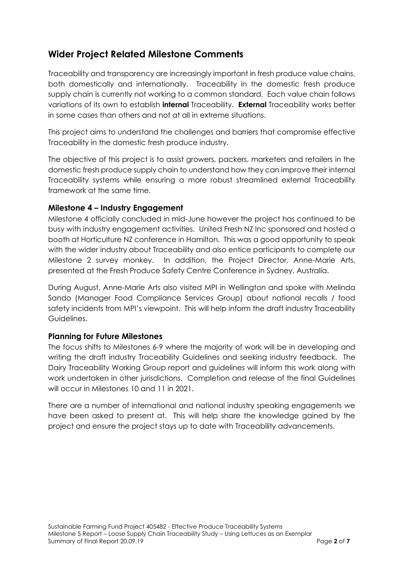## **Wider Project Related Milestone Comments**

Traceability and transparency are increasingly important in fresh produce value chains, both domestically and internationally. Traceability in the domestic fresh produce supply chain is currently not working to a common standard. Each value chain follows variations of its own to establish **internal** Traceability. **External** Traceability works better in some cases than others and not at all in extreme situations.

This project aims to understand the challenges and barriers that compromise effective Traceability in the domestic fresh produce industry.

The objective of this project is to assist growers, packers, marketers and retailers in the domestic fresh produce supply chain to understand how they can improve their internal Traceability systems while ensuring a more robust streamlined external Traceability framework at the same time.

#### **Milestone 4 – Industry Engagement**

Milestone 4 officially concluded in mid-June however the project has continued to be busy with industry engagement activities. United Fresh NZ Inc sponsored and hosted a booth at Horticulture NZ conference in Hamilton. This was a good opportunity to speak with the wider industry about Traceability and also entice participants to complete our Milestone 2 survey monkey. In addition, the Project Director, Anne-Marie Arts, presented at the Fresh Produce Safety Centre Conference in Sydney, Australia.

During August, Anne-Marie Arts also visited MPI in Wellington and spoke with Melinda Sando (Manager Food Compliance Services Group) about national recalls / food safety incidents from MPI's viewpoint. This will help inform the draft industry Traceability Guidelines.

#### **Planning for Future Milestones**

The focus shifts to Milestones 6-9 where the majority of work will be in developing and writing the draft industry Traceability Guidelines and seeking industry feedback. The Dairy Traceability Working Group report and guidelines will inform this work along with work undertaken in other jurisdictions. Completion and release of the final Guidelines will occur in Milestones 10 and 11 in 2021.

There are a number of international and national industry speaking engagements we have been asked to present at. This will help share the knowledge gained by the project and ensure the project stays up to date with Traceability advancements.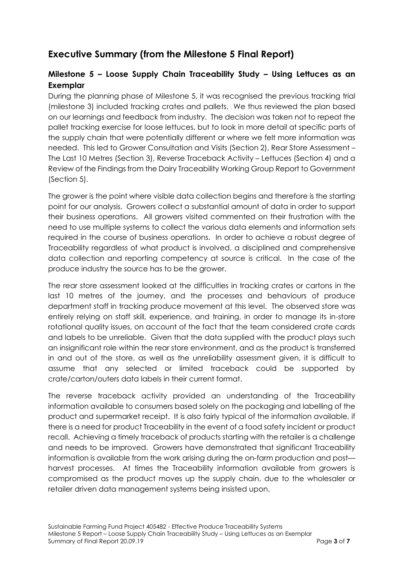# **Executive Summary (from the Milestone 5 Final Report)**

## **Milestone 5 – Loose Supply Chain Traceability Study – Using Lettuces as an Exemplar**

During the planning phase of Milestone 5, it was recognised the previous tracking trial (milestone 3) included tracking crates and pallets. We thus reviewed the plan based on our learnings and feedback from industry. The decision was taken not to repeat the pallet tracking exercise for loose lettuces, but to look in more detail at specific parts of the supply chain that were potentially different or where we felt more information was needed. This led to Grower Consultation and Visits (Section 2), Rear Store Assessment – The Last 10 Metres (Section 3), Reverse Traceback Activity – Lettuces (Section 4) and a Review of the Findings from the Dairy Traceability Working Group Report to Government (Section 5).

The grower is the point where visible data collection begins and therefore is the starting point for our analysis. Growers collect a substantial amount of data in order to support their business operations. All growers visited commented on their frustration with the need to use multiple systems to collect the various data elements and information sets required in the course of business operations. In order to achieve a robust degree of Traceability regardless of what product is involved, a disciplined and comprehensive data collection and reporting competency at source is critical. In the case of the produce industry the source has to be the grower.

The rear store assessment looked at the difficulties in tracking crates or cartons in the last 10 metres of the journey, and the processes and behaviours of produce department staff in tracking produce movement at this level. The observed store was entirely relying on staff skill, experience, and training, in order to manage its in-store rotational quality issues, on account of the fact that the team considered crate cards and labels to be unreliable. Given that the data supplied with the product plays such an insignificant role within the rear store environment, and as the product is transferred in and out of the store, as well as the unreliability assessment given, it is difficult to assume that any selected or limited traceback could be supported by crate/carton/outers data labels in their current format.

The reverse traceback activity provided an understanding of the Traceability information available to consumers based solely on the packaging and labelling of the product and supermarket receipt. It is also fairly typical of the information available, if there is a need for product Traceability in the event of a food safety incident or product recall. Achieving a timely traceback of products starting with the retailer is a challenge and needs to be improved. Growers have demonstrated that significant Traceability information is available from the work arising during the on-farm production and post harvest processes. At times the Traceability information available from growers is compromised as the product moves up the supply chain, due to the wholesaler or retailer driven data management systems being insisted upon.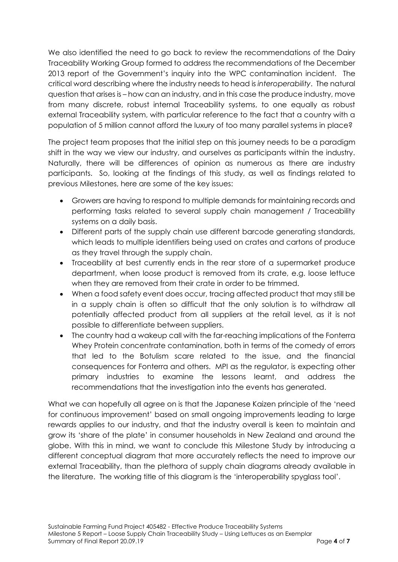We also identified the need to go back to review the recommendations of the Dairy Traceability Working Group formed to address the recommendations of the December 2013 report of the Government's inquiry into the WPC contamination incident. The critical word describing where the industry needs to head is *interoperability*. The natural question that arises is – how can an industry, and in this case the produce industry, move from many discrete, robust internal Traceability systems, to one equally as robust external Traceability system, with particular reference to the fact that a country with a population of 5 million cannot afford the luxury of too many parallel systems in place?

The project team proposes that the initial step on this journey needs to be a paradigm shift in the way we view our industry, and ourselves as participants within the industry. Naturally, there will be differences of opinion as numerous as there are industry participants. So, looking at the findings of this study, as well as findings related to previous Milestones, here are some of the key issues:

- Growers are having to respond to multiple demands for maintaining records and performing tasks related to several supply chain management / Traceability systems on a daily basis.
- Different parts of the supply chain use different barcode generating standards, which leads to multiple identifiers being used on crates and cartons of produce as they travel through the supply chain.
- Traceability at best currently ends in the rear store of a supermarket produce department, when loose product is removed from its crate, e.g. loose lettuce when they are removed from their crate in order to be trimmed.
- When a food safety event does occur, tracing affected product that may still be in a supply chain is often so difficult that the only solution is to withdraw all potentially affected product from all suppliers at the retail level, as it is not possible to differentiate between suppliers.
- The country had a wakeup call with the far-reaching implications of the Fonterra Whey Protein concentrate contamination, both in terms of the comedy of errors that led to the Botulism scare related to the issue, and the financial consequences for Fonterra and others. MPI as the regulator, is expecting other primary industries to examine the lessons learnt, and address the recommendations that the investigation into the events has generated.

What we can hopefully all agree on is that the Japanese Kaizen principle of the 'need for continuous improvement' based on small ongoing improvements leading to large rewards applies to our industry, and that the industry overall is keen to maintain and grow its 'share of the plate' in consumer households in New Zealand and around the globe. With this in mind, we want to conclude this Milestone Study by introducing a different conceptual diagram that more accurately reflects the need to improve our external Traceability, than the plethora of supply chain diagrams already available in the literature. The working title of this diagram is the 'interoperability spyglass tool'.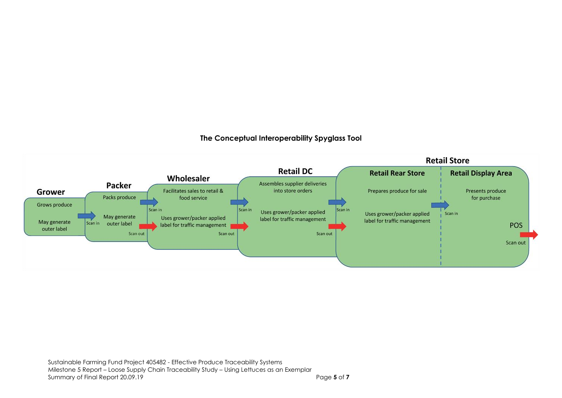#### **The Conceptual Interoperability Spyglass Tool**

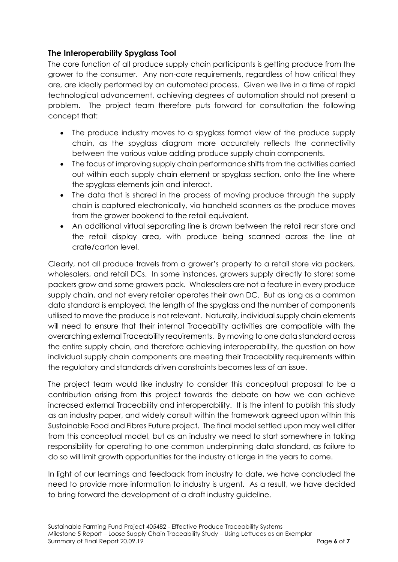### **The Interoperability Spyglass Tool**

The core function of all produce supply chain participants is getting produce from the grower to the consumer. Any non-core requirements, regardless of how critical they are, are ideally performed by an automated process. Given we live in a time of rapid technological advancement, achieving degrees of automation should not present a problem. The project team therefore puts forward for consultation the following concept that:

- The produce industry moves to a spyglass format view of the produce supply chain, as the spyglass diagram more accurately reflects the connectivity between the various value adding produce supply chain components.
- The focus of improving supply chain performance shifts from the activities carried out within each supply chain element or spyglass section, onto the line where the spyglass elements join and interact.
- The data that is shared in the process of moving produce through the supply chain is captured electronically, via handheld scanners as the produce moves from the grower bookend to the retail equivalent.
- An additional virtual separating line is drawn between the retail rear store and the retail display area, with produce being scanned across the line at crate/carton level.

Clearly, not all produce travels from a grower's property to a retail store via packers, wholesalers, and retail DCs. In some instances, growers supply directly to store; some packers grow and some growers pack. Wholesalers are not a feature in every produce supply chain, and not every retailer operates their own DC. But as long as a common data standard is employed, the length of the spyglass and the number of components utilised to move the produce is not relevant. Naturally, individual supply chain elements will need to ensure that their internal Traceability activities are compatible with the overarching external Traceability requirements. By moving to one data standard across the entire supply chain, and therefore achieving interoperability, the question on how individual supply chain components are meeting their Traceability requirements within the regulatory and standards driven constraints becomes less of an issue.

The project team would like industry to consider this conceptual proposal to be a contribution arising from this project towards the debate on how we can achieve increased external Traceability and interoperability. It is the intent to publish this study as an industry paper, and widely consult within the framework agreed upon within this Sustainable Food and Fibres Future project. The final model settled upon may well differ from this conceptual model, but as an industry we need to start somewhere in taking responsibility for operating to one common underpinning data standard, as failure to do so will limit growth opportunities for the industry at large in the years to come.

In light of our learnings and feedback from industry to date, we have concluded the need to provide more information to industry is urgent. As a result, we have decided to bring forward the development of a draft industry guideline.